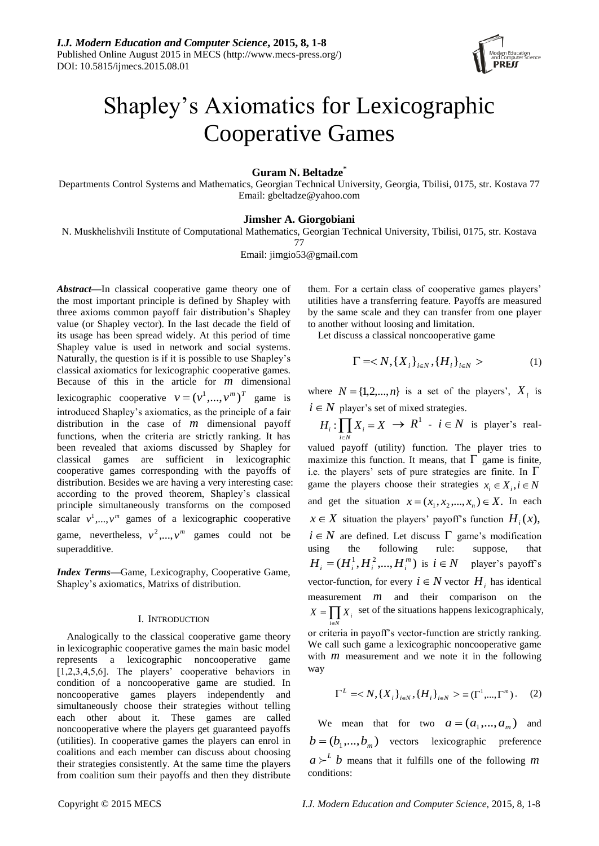

# Shapley's Axiomatics for Lexicographic Cooperative Games

**Guram N. Beltadze\***

Departments Control Systems and Mathematics, Georgian Technical University, Georgia, Tbilisi, 0175, str. Kostava 77 Email: gbeltadze@yahoo.com

### **Jimsher A. Giorgobiani**

N. Muskhelishvili Institute of Computational Mathematics, Georgian Technical University, Tbilisi, 0175, str. Kostava

77

Email: jimgio53@gmail.com

*Abstract***—**In classical cooperative game theory one of the most important principle is defined by Shapley with three axioms common payoff fair distribution's Shapley value (or Shapley vector). In the last decade the field of its usage has been spread widely. At this period of time Shapley value is used in network and social systems. Naturally, the question is if it is possible to use Shapley's classical axiomatics for lexicographic cooperative games. Because of this in the article for *m* dimensional lexicographic cooperative  $v = (v^1, ..., v^m)^T$  game is introduced Shapley's axiomatics, as the principle of a fair distribution in the case of *m* dimensional payoff functions, when the criteria are strictly ranking. It has been revealed that axioms discussed by Shapley for classical games are sufficient in lexicographic cooperative games corresponding with the payoffs of distribution. Besides we are having a very interesting case: according to the proved theorem, Shapley's classical principle simultaneously transforms on the composed scalar  $v^1, ..., v^m$  games of a lexicographic cooperative game, nevertheless,  $v^2, ..., v^m$  games could not be superadditive.

*Index Terms***—**Game*,* Lexicography, Cooperative Game, Shapley's axiomatics, Matrixs of distribution.

## I. INTRODUCTION

Analogically to the classical cooperative game theory in lexicographic cooperative games the main basic model represents a lexicographic noncooperative game [1,2,3,4,5,6]. The players' cooperative behaviors in condition of a noncooperative game are studied. In noncooperative games players independently and simultaneously choose their strategies without telling each other about it. These games are called noncooperative where the players get guaranteed payoffs (utilities). In cooperative games the players can enrol in coalitions and each member can discuss about choosing their strategies consistently. At the same time the players from coalition sum their payoffs and then they distribute them. For a certain class of cooperative games players' utilities have a transferring feature. Payoffs are measured by the same scale and they can transfer from one player to another without loosing and limitation.

Let discuss a classical noncooperative game

$$
\Gamma =  \tag{1}
$$

where  $N = \{1, 2, ..., n\}$  is a set of the players',  $X_i$  is  $i \in N$  player's set of mixed strategies.

 $\prod_{i\in N} X_i$  $H_i$ :  $\prod X_i = X$  $\prod_{i \in N} X_i = X \rightarrow R^1$  -  $i \in N$  is player's realvalued payoff (utility) function. The player tries to maximize this function. It means, that  $\Gamma$  game is finite, i.e. the players' sets of pure strategies are finite. In  $\Gamma$ game the players choose their strategies  $x_i \in X_i, i \in N$ and get the situation  $x = (x_1, x_2, ..., x_n) \in X$ . In each  $x \in X$  situation the players' payoff's function  $H_i(x)$ ,  $i \in N$  are defined. Let discuss  $\Gamma$  game's modification using the following rule: suppose, that  $H_i = (H_i^1, H_i^2, \dots, H_i^m)$  is  $i \in \mathbb{N}$  player's payoff's vector-function, for every  $i \in N$  vector  $H_i$  has identical measurement *m* and their comparison on the  $X = \prod X_i$  set of the situations happens lexicographicaly, ie. *i N*

or criteria in payoff's vector-function are strictly ranking. We call such game a lexicographic noncooperative game with *m* measurement and we note it in the following way

$$
\Gamma^{L} =  \equiv (\Gamma^{1}, ..., \Gamma^{m}).
$$
 (2)

We mean that for two  $a = (a_1, ..., a_m)$  and  $b = (b_1, ..., b_m)$  vectors lexicographic preference  $a \succ^L b$  means that it fulfills one of the following *m* conditions: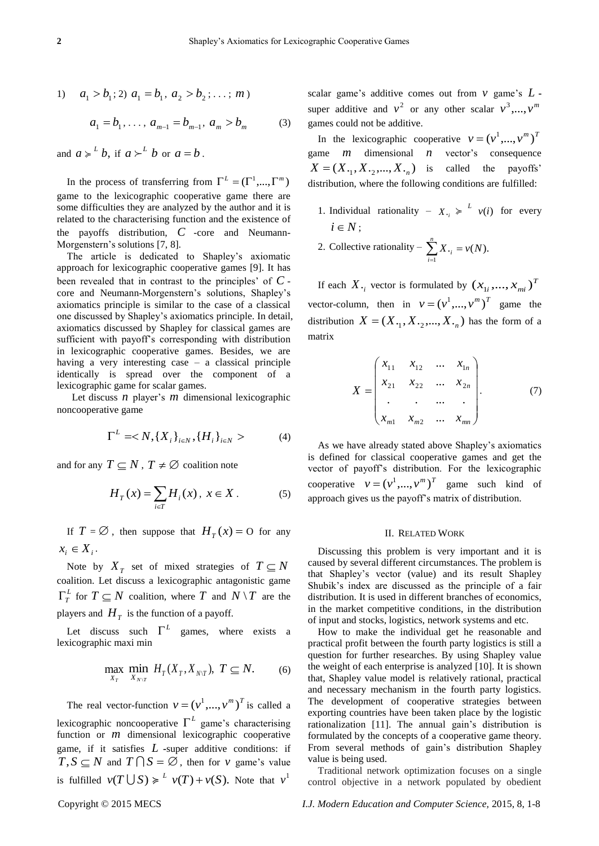1) 
$$
a_1 > b_1
$$
; 2)  $a_1 = b_1, a_2 > b_2$ ; ...; m)

$$
a_1 = b_1, \dots, a_{m-1} = b_{m-1}, a_m > b_m \tag{3}
$$

and  $a \ge b$ , if  $a \ge b$  or  $a = b$ .

In the process of transferring from  $\Gamma^L = (\Gamma^1, ..., \Gamma^m)$ game to the lexicographic cooperative game there are some difficulties they are analyzed by the author and it is related to the characterising function and the existence of the payoffs distribution, *C* -core and Neumann-Morgenstern's solutions [7, 8].

The article is dedicated to Shapley's axiomatic approach for lexicographic cooperative games [9]. It has been revealed that in contrast to the principles' of *C* core and Neumann-Morgenstern's solutions, Shapley's axiomatics principle is similar to the case of a classical one discussed by Shapley's axiomatics principle. In detail, axiomatics discussed by Shapley for classical games are sufficient with payoff's corresponding with distribution in lexicographic cooperative games. Besides, we are having a very interesting case – a classical principle identically is spread over the component of a lexicographic game for scalar games.

Let discuss *n* player's *m* dimensional lexicographic noncooperative game

$$
\Gamma^{L} =  (4)
$$

and for any  $T \subseteq N$ ,  $T \neq \emptyset$  coalition note

$$
H_T(x) = \sum_{i \in T} H_i(x), \ x \in X.
$$
 (5)

If  $T = \emptyset$ , then suppose that  $H_T(x) = 0$  for any  $x_i \in X_i$ .

Note by  $X_T$  set of mixed strategies of  $T \subseteq N$ coalition. Let discuss a lexicographic antagonistic game  $\Gamma_T^L$  for  $T \subseteq N$  coalition, where  $T$  and  $N \setminus T$  are the players and  $H_T$  is the function of a payoff.

Let discuss such  $\Gamma^L$  games, where exists a lexicographic maxi min

$$
\max_{X_T} \min_{X_{N\setminus T}} H_T(X_T, X_{N\setminus T}), \ T \subseteq N. \tag{6}
$$

The real vector-function  $v = (v^1, ..., v^m)^T$  is called a lexicographic noncooperative  $\Gamma^L$  game's characterising function or *m* dimensional lexicographic cooperative game, if it satisfies *L* **-**super additive conditions: if  $T, S \subseteq N$  and  $T \cap S = \emptyset$ , then for v game's value is fulfilled  $v(T \cup S) \geq l$   $v(T) + v(S)$ . Note that  $v^1$ 

scalar game's additive comes out from *v* game's *L*  super additive and  $v^2$  or any other scalar  $v^3, ..., v^m$ games could not be additive.

In the lexicographic cooperative  $v = (v^1, ..., v^m)^T$ game *m* dimensional *n* vector's consequence  $X = (X_{\cdot 1}, X_{\cdot 2}, ..., X_{\cdot n})$  is called the payoffs<sup>'</sup> distribution, where the following conditions are fulfilled:

- 1. Individual rationality  $X_{i} \geqslant 1$  *v*(*i*) for every  $i \in N$ ;
- 2. Collective rationality  $\sum X_{i} = v(N)$ . 1  $\sum_{i=1}^{n} X_{i} = v(N)$  $\sum_{i=1}^{\infty} X_{\cdot i} =$  $=$

If each  $X_{i}$  vector is formulated by  $(x_{1i},...,x_{mi})^T$ vector-column, then in  $v = (v^1, ..., v^m)^T$  game the distribution  $X = (X_{\cdot_1}, X_{\cdot_2},..., X_{\cdot_n})$  has the form of a matrix

$$
X = \begin{pmatrix} x_{11} & x_{12} & \dots & x_{1n} \\ x_{21} & x_{22} & \dots & x_{2n} \\ \vdots & \vdots & \vdots & \vdots \\ x_{m1} & x_{m2} & \dots & x_{mn} \end{pmatrix}.
$$
 (7)

As we have already stated above Shapley's axiomatics is defined for classical cooperative games and get the vector of payoff's distribution. For the lexicographic cooperative  $v = (v^1, ..., v^m)^T$  game such kind of approach gives us the payoff's matrix of distribution.

#### II. RELATED WORK

Discussing this problem is very important and it is caused by several different circumstances. The problem is that Shapley's vector (value) and its result Shapley Shubik's index are discussed as the principle of a fair distribution. It is used in different branches of economics, in the market competitive conditions, in the distribution of input and stocks, logistics, network systems and etc.

How to make the individual get he reasonable and practical profit between the fourth party logistics is still a question for further researches. By using Shapley value the weight of each enterprise is analyzed [10]. It is shown that, Shapley value model is relatively rational, practical and necessary mechanism in the fourth party logistics. The development of cooperative strategies between exporting countries have been taken place by the logistic rationalization [11]. The annual gain's distribution is formulated by the concepts of a cooperative game theory. From several methods of gain's distribution Shapley value is being used.

Traditional network optimization focuses on a single control objective in a network populated by obedient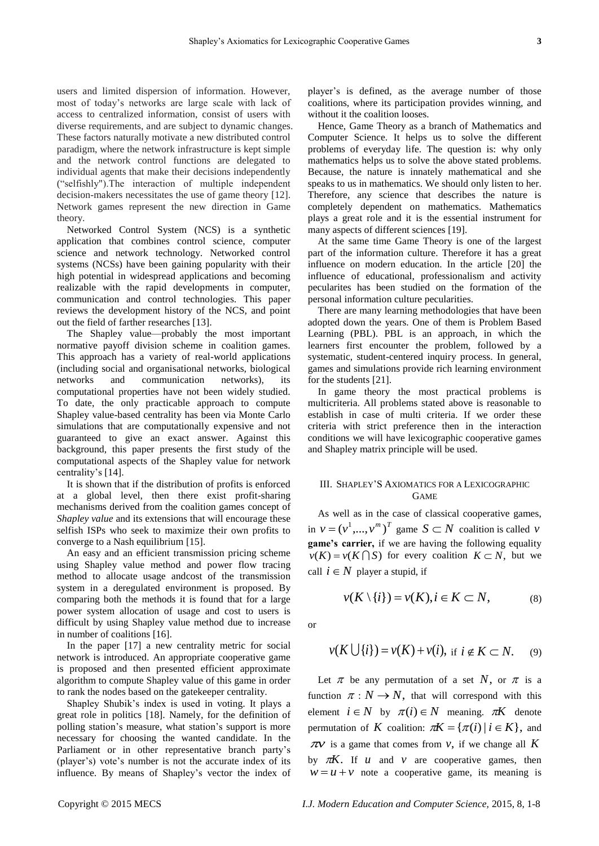users and limited dispersion of information. However, most of today's networks are large scale with lack of access to centralized information, consist of users with diverse requirements, and are subject to dynamic changes. These factors naturally motivate a new distributed control paradigm, where the network infrastructure is kept simple and the network control functions are delegated to individual agents that make their decisions independently (―selfishly").The interaction of multiple independent decision-makers necessitates the use of game theory [12]. Network games represent the new direction in Game theory.

Networked Control System (NCS) is a synthetic application that combines control science, computer science and network technology. Networked control systems (NCSs) have been gaining popularity with their high potential in widespread applications and becoming realizable with the rapid developments in computer, communication and control technologies. This paper reviews the development history of the NCS, and point out the field of farther researches [13].

The Shapley value—probably the most important normative payoff division scheme in coalition games. This approach has a variety of real-world applications (including social and organisational networks, biological networks and communication networks), its computational properties have not been widely studied. To date, the only practicable approach to compute Shapley value-based centrality has been via Monte Carlo simulations that are computationally expensive and not guaranteed to give an exact answer. Against this background, this paper presents the first study of the computational aspects of the Shapley value for network centrality's [14].

It is shown that if the distribution of profits is enforced at a global level, then there exist profit-sharing mechanisms derived from the coalition games concept of *Shapley value* and its extensions that will encourage these selfish ISPs who seek to maximize their own profits to converge to a Nash equilibrium [15].

An easy and an efficient transmission pricing scheme using Shapley value method and power flow tracing method to allocate usage andcost of the transmission system in a deregulated environment is proposed. By comparing both the methods it is found that for a large power system allocation of usage and cost to users is difficult by using Shapley value method due to increase in number of coalitions [16].

In the paper [17] a new centrality metric for social network is introduced. An appropriate cooperative game is proposed and then presented efficient approximate algorithm to compute Shapley value of this game in order to rank the nodes based on the gatekeeper centrality.

Shapley Shubik's index is used in voting. It plays a great role in politics [18]. Namely, for the definition of polling station's measure, what station's support is more necessary for choosing the wanted candidate. In the Parliament or in other representative branch party's (player's) vote's number is not the accurate index of its influence. By means of Shapley's vector the index of player's is defined, as the average number of those coalitions, where its participation provides winning, and without it the coalition looses.

Hence, Game Theory as a branch of Mathematics and Computer Science. It helps us to solve the different problems of everyday life. The question is: why only mathematics helps us to solve the above stated problems. Because, the nature is innately mathematical and she speaks to us in mathematics. We should only listen to her. Therefore, any science that describes the nature is completely dependent on mathematics. Mathematics plays a great role and it is the essential instrument for many aspects of different sciences [19].

At the same time Game Theory is one of the largest part of the information culture. Therefore it has a great influence on modern education. In the article [20] the influence of educational, professionalism and activity pecularites has been studied on the formation of the personal information culture pecularities.

There are many learning methodologies that have been adopted down the years. One of them is Problem Based Learning (PBL). PBL is an approach, in which the learners first encounter the problem, followed by a systematic, student-centered inquiry process. In general, games and simulations provide rich learning environment for the students [21].

In game theory the most practical problems is multicriteria. All problems stated above is reasonable to establish in case of multi criteria. If we order these criteria with strict preference then in the interaction conditions we will have lexicographic cooperative games and Shapley matrix principle will be used.

# III. SHAPLEY'S AXIOMATICS FOR A LEXICOGRAPHIC GAME

As well as in the case of classical cooperative games, in  $v = (v^1, ..., v^m)^T$  game  $S \subset N$  coalition is called v **game's carrier,** if we are having the following equality  $v(K) = v(K \cap S)$  for every coalition  $K \subset N$ , but we call  $i \in N$  player a stupid, if

$$
\nu(K \setminus \{i\}) = \nu(K), i \in K \subset N, \tag{8}
$$

or

$$
v(K \cup \{i\}) = v(K) + v(i), \text{ if } i \notin K \subset N. \tag{9}
$$

Let  $\pi$  be any permutation of a set N, or  $\pi$  is a function  $\pi : N \to N$ , that will correspond with this element  $i \in N$  by  $\pi(i) \in N$  meaning.  $\pi K$  denote permutation of K coalition:  $\pi K = {\pi(i) | i \in K}$ , and  $\pi v$  is a game that comes from  $v$ , if we change all K by  $\pi K$ . If *u* and *v* are cooperative games, then  $w = u + v$  note a cooperative game, its meaning is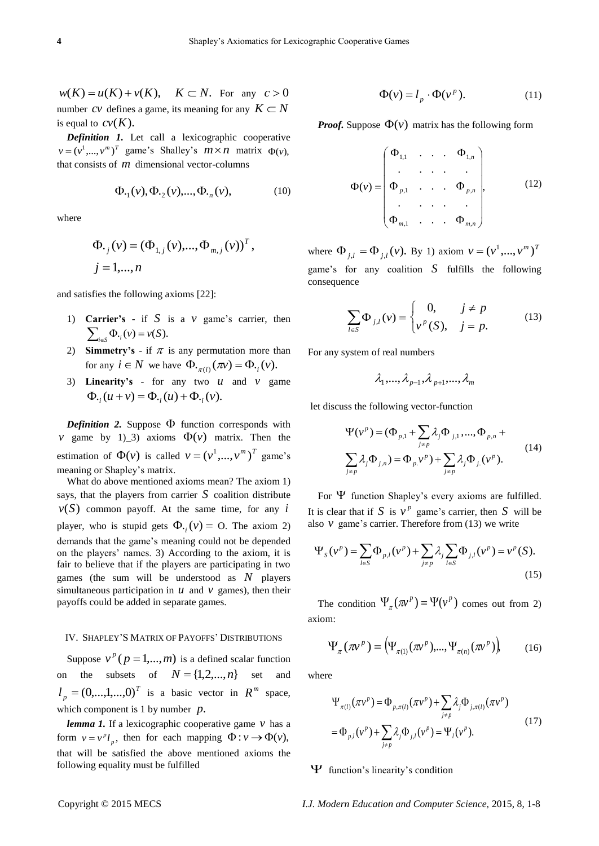$w(K) = u(K) + v(K)$ ,  $K \subset N$ . For any  $c > 0$ number CV defines a game, its meaning for any  $K \subset N$ is equal to  $cv(K)$ .

*Definition 1.* Let call a lexicographic cooperative  $v = (v^1, ..., v^m)^T$  game's Shalley's  $m \times n$  matrix  $\Phi(v)$ , that consists of *m* dimensional vector-columns

$$
\Phi_{\cdot_1}(\nu), \Phi_{\cdot_2}(\nu), ..., \Phi_{\cdot_n}(\nu), \tag{10}
$$

where

$$
\Phi_{\cdot j}(\nu) = (\Phi_{1,j}(\nu), ..., \Phi_{m,j}(\nu))^T, \nj = 1, ..., n
$$

and satisfies the following axioms [22]:

- 1) **Carrier's** if  $S$  is a  $v$  game's carrier, then  $\sum_{i \in S} \Phi_{\cdot_i}(v) = v(S).$
- 2) **Simmetry's** if  $\pi$  is any permutation more than for any  $i \in N$  we have  $\Phi_{\cdot \pi(i)}(\pi v) = \Phi_{\cdot i}(v)$ .
- 3) **Linearity's** for any two  $u$  and  $v$  game  $\Phi_{ij}(u+v) = \Phi_{ij}(u) + \Phi_{ij}(v).$

**Definition 2.** Suppose  $\Phi$  function corresponds with *v* game by 1)\_3) axioms  $\Phi(\nu)$  matrix. Then the estimation of  $\Phi(v)$  is called  $v = (v^1, ..., v^m)^T$  game's meaning or Shapley's matrix.

What do above mentioned axioms mean? The axiom 1) says, that the players from carrier  $S$  coalition distribute  $v(S)$  common payoff. At the same time, for any i player, who is stupid gets  $\Phi_{i}(v) = O$ . The axiom 2) demands that the game's meaning could not be depended on the players' names. 3) According to the axiom, it is fair to believe that if the players are participating in two games (the sum will be understood as *N* players simultaneous participation in  $u$  and  $v$  games), then their payoffs could be added in separate games.

### IV. SHAPLEY'S MATRIX OF PAYOFFS' DISTRIBUTIONS

Suppose  $v^p$  ( $p = 1,...,m$ ) is a defined scalar function on the subsets of  $N = \{1, 2, ..., n\}$  set and *T*  $l_p = (0, \dots, 1, \dots, 0)^T$  is a basic vector in  $R^m$  space, which component is 1 by number *p*.

*lemma 1.* If a lexicographic cooperative game *v* has a form  $v = v^p l_p$ , then for each mapping  $\Phi : v \to \Phi(v)$ , that will be satisfied the above mentioned axioms the following equality must be fulfilled

$$
\Phi(v) = l_p \cdot \Phi(v^p). \tag{11}
$$

*Proof.* Suppose  $\Phi(\nu)$  matrix has the following form

$$
\Phi(v) = \begin{pmatrix}\n\Phi_{1,1} & \cdots & \Phi_{1,n} \\
\vdots & \vdots & \ddots & \vdots \\
\Phi_{p,1} & \cdots & \Phi_{p,n} \\
\vdots & \vdots & \ddots & \vdots \\
\Phi_{m,1} & \cdots & \Phi_{m,n}\n\end{pmatrix},
$$
\n(12)

where  $\Phi_{j,l} = \Phi_{j,l}(v)$ . By 1) axiom  $v = (v^1, ..., v^m)^T$ game's for any coalition  $S$  fulfills the following consequence

$$
\sum_{l\in S} \Phi_{j,l}(\nu) = \begin{cases} 0, & j \neq p \\ \nu^p(S), & j = p. \end{cases}
$$
 (13)

For any system of real numbers

$$
\lambda_1,...,\lambda_{p-1},\lambda_{p+1},...,\lambda_m
$$

let discuss the following vector-function

$$
\Psi(\nu^{p}) = (\Phi_{p,1} + \sum_{j \neq p} \lambda_{j} \Phi_{j,1}, ..., \Phi_{p,n} +
$$
  

$$
\sum_{j \neq p} \lambda_{j} \Phi_{j,n}) = \Phi_{p,1} \nu^{p} + \sum_{j \neq p} \lambda_{j} \Phi_{j,1} (\nu^{p}).
$$
 (14)

For  $\Psi$  function Shapley's every axioms are fulfilled. It is clear that if S is  $v^p$  game's carrier, then S will be

It is clear that if *S* is 
$$
v^r
$$
 game's carrier, then *S* will be  
also *v* game's carrier. Therefore from (13) we write  

$$
\Psi_s(v^p) = \sum_{l \in S} \Phi_{p,l}(v^p) + \sum_{j \neq p} \lambda_j \sum_{l \in S} \Phi_{j,l}(v^p) = v^p(S).
$$
(15)

The condition  $\Psi_{\pi}(\pi v^p) = \Psi(v^p)$  comes out from 2) axiom:

$$
\Psi_{\pi}(\pi v^{p}) = (\Psi_{\pi(1)}(\pi v^{p}), ..., \Psi_{\pi(n)}(\pi v^{p}))
$$
\n(16)

where

$$
\Psi_{\pi(l)}(\pi v^p) = \Phi_{p,\pi(l)}(\pi v^p) + \sum_{j \neq p} \lambda_j \Phi_{j,\pi(l)}(\pi v^p)
$$
  
=  $\Phi_{p,l}(v^p) + \sum_{j \neq p} \lambda_j \Phi_{j,l}(v^p) = \Psi_l(v^p).$  (17)

# $\Psi$  function's linearity's condition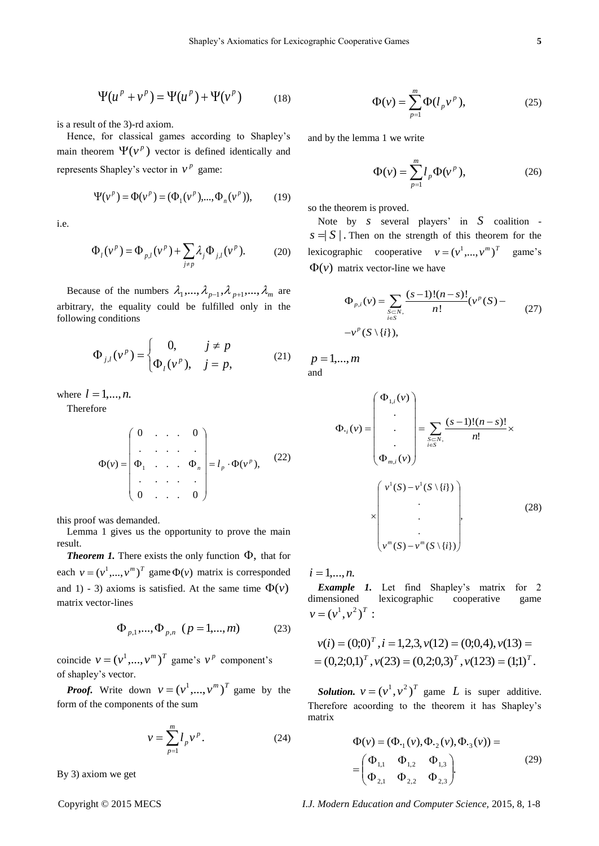$$
\Psi(u^p + v^p) = \Psi(u^p) + \Psi(v^p)
$$
 (18)

is a result of the 3)-rd axiom.

Hence, for classical games according to Shapley's main theorem  $\Psi(\nu^p)$  vector is defined identically and represents Shapley's vector in  $v^p$  game:

$$
\Psi(\nu^p) = \Phi(\nu^p) = (\Phi_1(\nu^p), ..., \Phi_n(\nu^p)),
$$
 (19)

i.e.

$$
\Phi_{i}(v^{p}) = \Phi_{p,l}(v^{p}) + \sum_{j \neq p} \lambda_{j} \Phi_{j,l}(v^{p}).
$$
 (20)

Because of the numbers  $\lambda_1, ..., \lambda_{p-1}, \lambda_{p+1}, ..., \lambda_m$  are arbitrary, the equality could be fulfilled only in the following conditions

$$
\Phi_{j,l}(v^p) = \begin{cases}\n0, & j \neq p \\
\Phi_l(v^p), & j = p,\n\end{cases}
$$
\n(21)

where  $l = 1, \ldots, n$ .

Therefore

$$
\Phi(v) = \begin{pmatrix} 0 & \dots & 0 \\ \vdots & \ddots & \vdots \\ \Phi_1 & \dots & \Phi_n \\ \vdots & \ddots & \vdots \\ 0 & \dots & 0 \end{pmatrix} = l_p \cdot \Phi(v^p), \quad (22)
$$

this proof was demanded.

Lemma 1 gives us the opportunity to prove the main result.

**Theorem 1.** There exists the only function  $\Phi$ , that for each  $v = (v^1, ..., v^m)^T$  game  $\Phi(v)$  matrix is corresponded and 1) - 3) axioms is satisfied. At the same time  $\Phi(\nu)$ matrix vector-lines

$$
\Phi_{p,1},...,\Phi_{p,n} \ (p=1,...,m) \qquad (23)
$$

coincide  $v = (v^1, ..., v^m)^T$  game's  $v^p$  component's of shapley's vector.

*Proof.* Write down  $v = (v^1, ..., v^m)^T$  game by the form of the components of the sum

$$
v = \sum_{p=1}^{m} l_p v^p.
$$
 (24)

By 3) axiom we get

$$
\Phi(\nu) = \sum_{p=1}^{m} \Phi(l_p \nu^p), \qquad (25)
$$

and by the lemma 1 we write

$$
\Phi(\nu) = \sum_{p=1}^{m} l_p \Phi(\nu^p),\tag{26}
$$

so the theorem is proved.

Note by *s* several players' in *S* coalition  $s = |S|$ . Then on the strength of this theorem for the lexicographic cooperative  $v = (v^1, ..., v^m)^T$ game's  $\Phi(\nu)$  matrix vector-line we have

$$
\Phi_{p,i}(v) = \sum_{\substack{S \subset N, \\ i \in S}} \frac{(s-1)!(n-s)!}{n!} (v^p(S) -
$$
  
-v<sup>p</sup>(S \setminus \{i\}), (27)

 $p = 1, \ldots, m$ and

$$
\Phi_{\cdot_i}(\nu) = \begin{pmatrix} \Phi_{1,i}(\nu) \\ \cdot \\ \cdot \\ \Phi_{m,i}(\nu) \end{pmatrix} = \sum_{\substack{S \subset N, \\ i \in S}} \frac{(s-1)!(n-s)!}{n!} \times \begin{pmatrix} \nu^1(S) - \nu^1(S \setminus \{i\}) \\ \cdot \\ \cdot \\ \cdot \\ \cdot \\ \nu^m(S) - \nu^m(S \setminus \{i\}) \end{pmatrix},
$$
(28)

 $i = 1,...,n$ .

*Example 1.* Let find Shapley's matrix for 2 dimensioned lexicographic cooperative game  $v = (v^1, v^2)^T$ :

$$
v(i) = (0;0)T
$$
,  $i = 1,2,3$ ,  $v(12) = (0;0,4)$ ,  $v(13) =$   
=  $(0,2;0,1)T$ ,  $v(23) = (0,2;0,3)T$ ,  $v(123) = (1;1)T$ .

*Solution.*  $v = (v^1, v^2)^T$  game *L* is super additive. Therefore acoording to the theorem it has Shapley's matrix

$$
\Phi(\nu) = (\Phi_{\cdot_1}(\nu), \Phi_{\cdot_2}(\nu), \Phi_{\cdot_3}(\nu)) =
$$
\n
$$
= \begin{pmatrix} \Phi_{1,1} & \Phi_{1,2} & \Phi_{1,3} \\ \Phi_{2,1} & \Phi_{2,2} & \Phi_{2,3} \end{pmatrix}.
$$
\n(29)

Copyright © 2015 MECS *I.J. Modern Education and Computer Science,* 2015, 8, 1-8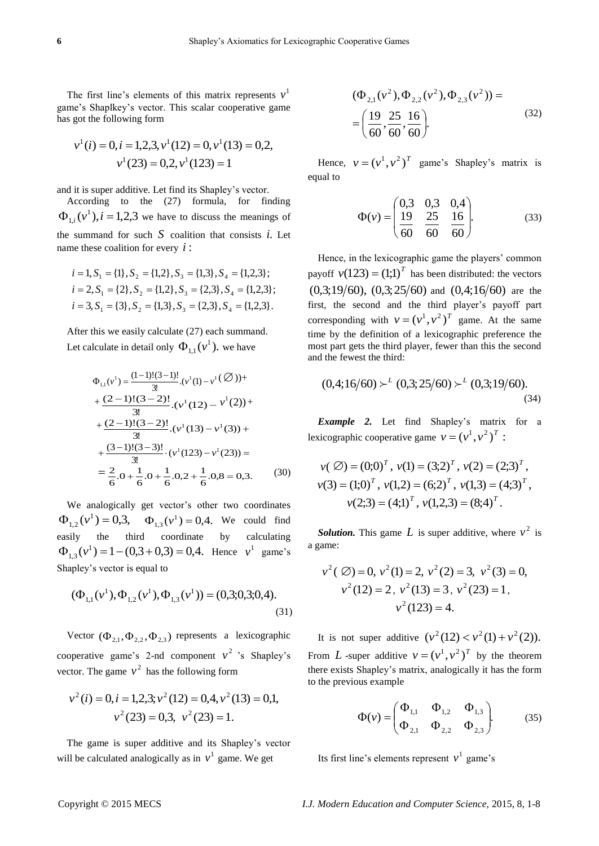The first line's elements of this matrix represents  $v<sup>1</sup>$ game's Shaplkey's vector. This scalar cooperative game has got the following form

$$
v^1(i) = 0, i = 1,2,3, v^1(12) = 0, v^1(13) = 0,2,
$$
  
 $v^1(23) = 0,2, v^1(123) = 1$ 

and it is super additive. Let find its Shapley's vector.

According to the (27) formula, for finding  $\Phi_{1,i}(v^1), i = 1,2,3$  we have to discuss the meanings of the summand for such  $S$  coalition that consists  $i$ . Let name these coalition for every *i* :

$$
i = 1, S_1 = \{1\}, S_2 = \{1, 2\}, S_3 = \{1, 3\}, S_4 = \{1, 2, 3\};
$$
  
\n
$$
i = 2, S_1 = \{2\}, S_2 = \{1, 2\}, S_3 = \{2, 3\}, S_4 = \{1, 2, 3\};
$$
  
\n
$$
i = 3, S_1 = \{3\}, S_2 = \{1, 3\}, S_3 = \{2, 3\}, S_4 = \{1, 2, 3\}.
$$

After this we easily calculate (27) each summand. Let calculate in detail only  $\Phi_{1,1}(v^1)$ , we have

$$
\Phi_{1,1}(v^1) = \frac{(1-1)!(3-1)!}{3!} \cdot (v^1(1) - v^1(\emptyset)) +
$$
  
+ 
$$
\frac{(2-1)!(3-2)!}{3!} \cdot (v^1(12) - v^1(2)) +
$$
  
+ 
$$
\frac{(2-1)!(3-2)!}{3!} \cdot (v^1(13) - v^1(3)) +
$$
  
+ 
$$
\frac{(3-1)!(3-3)!}{3!} \cdot (v^1(123) - v^1(23)) =
$$
  
= 
$$
\frac{2}{6} \cdot 0 + \frac{1}{6} \cdot 0 + \frac{1}{6} \cdot 0 + \frac{1}{6} \cdot 0 + \frac{1}{6} \cdot 0 + \frac{1}{6} \cdot 0 + \frac{1}{6} \cdot 0 + \frac{1}{6} \cdot 0 + \frac{1}{6} \cdot 0 + \frac{1}{6} \cdot 0 + \frac{1}{6} \cdot 0 + \frac{1}{6} \cdot 0 + \frac{1}{6} \cdot 0 + \frac{1}{6} \cdot 0 + \frac{1}{6} \cdot 0 + \frac{1}{6} \cdot 0 + \frac{1}{6} \cdot 0 + \frac{1}{6} \cdot 0 + \frac{1}{6} \cdot 0 + \frac{1}{6} \cdot 0 + \frac{1}{6} \cdot 0 + \frac{1}{6} \cdot 0 + \frac{1}{6} \cdot 0 + \frac{1}{6} \cdot 0 + \frac{1}{6} \cdot 0 + \frac{1}{6} \cdot 0 + \frac{1}{6} \cdot 0 + \frac{1}{6} \cdot 0 + \frac{1}{6} \cdot 0 + \frac{1}{6} \cdot 0 + \frac{1}{6} \cdot 0 + \frac{1}{6} \cdot 0 + \frac{1}{6} \cdot 0 + \frac{1}{6} \cdot 0 + \frac{1}{6} \cdot 0 + \frac{1}{6} \cdot 0 + \frac{1}{6} \cdot 0 + \frac{1}{6} \cdot 0 + \frac{1}{6} \cdot 0 + \frac{1}{6} \cdot 0 + \frac{1}{6} \cdot 0 + \frac{1}{6} \cdot 0 + \frac{1}{6} \cdot 0 + \frac{1}{6} \cdot 0 + \frac{1}{6} \cdot 0 + \frac{1}{6} \cdot 0 + \frac{1}{6} \cdot 0 + \frac{1}{6
$$

We analogically get vector's other two coordinates  $\Phi_{1,2}(\nu^1) = 0,3, \quad \Phi_{1,3}(\nu^1) = 0,4.$  We could find easily the third coordinate by calculating  $\Phi_{1,3}(\nu^1) = 1 - (0.3 + 0.3) = 0.4$ . Hence  $\nu^1$  game's Shapley's vector is equal to

$$
(\Phi_{1,1}(v^1), \Phi_{1,2}(v^1), \Phi_{1,3}(v^1)) = (0,3;0,3;0,4).
$$
\n(31)

Vector  $(\Phi_{2,1}, \Phi_{2,2}, \Phi_{2,3})$  represents a lexicographic cooperative game's 2-nd component  $v^2$  's Shapley's vector. The game  $v^2$  has the following form

$$
v^2(i) = 0, i = 1,2,3; v^2(12) = 0,4, v^2(13) = 0,1,
$$
  
 $v^2(23) = 0,3, v^2(23) = 1.$ 

The game is super additive and its Shapley's vector will be calculated analogically as in  $v<sup>1</sup>$  game. We get

$$
(\Phi_{2,1}(v^2), \Phi_{2,2}(v^2), \Phi_{2,3}(v^2)) =
$$
  
=  $\left(\frac{19}{60}, \frac{25}{60}, \frac{16}{60}\right)$ . (32)

Hence,  $v = (v^1, v^2)^T$  game's Shapley's matrix is equal to

$$
\Phi(v) = \begin{pmatrix} 0.3 & 0.3 & 0.4 \\ \frac{19}{60} & \frac{25}{60} & \frac{16}{60} \end{pmatrix}.
$$
 (33)

Hence, in the lexicographic game the players' common payoff  $v(123) = (1;1)^T$  has been distributed: the vectors  $(0,3;19/60)$ ,  $(0,3;25/60)$  and  $(0,4;16/60)$  are the first, the second and the third player's payoff part corresponding with  $v = (v^1, v^2)^T$  game. At the same time by the definition of a lexicographic preference the most part gets the third player, fewer than this the second and the fewest the third:

$$
(0,4;16/60) \succ^{L} (0,3;25/60) \succ^{L} (0,3;19/60).
$$
\n(34)

*Example 2.* Let find Shapley's matrix for a lexicographic cooperative game  $v = (v^1, v^2)^T$ :

$$
v(\emptyset) = (0;0)^T
$$
,  $v(1) = (3;2)^T$ ,  $v(2) = (2;3)^T$ ,  
\n $v(3) = (1;0)^T$ ,  $v(1,2) = (6;2)^T$ ,  $v(1,3) = (4;3)^T$ ,  
\n $v(2;3) = (4;1)^T$ ,  $v(1,2,3) = (8;4)^T$ .

**Solution.** This game L is super additive, where  $v^2$  is a game:

$$
v^2
$$
 (Ø) = 0,  $v^2$ (1) = 2,  $v^2$ (2) = 3,  $v^2$ (3) = 0,  
\n $v^2$ (12) = 2,  $v^2$ (13) = 3,  $v^2$ (23) = 1,  
\n $v^2$ (123) = 4.

It is not super additive  $(v^2(12) < v^2(1) + v^2(2))$ . From L -super additive  $v = (v^1, v^2)^T$  by the theorem there exists Shapley's matrix, analogically it has the form to the previous example

$$
\Phi(\nu) = \begin{pmatrix} \Phi_{1,1} & \Phi_{1,2} & \Phi_{1,3} \\ \Phi_{2,1} & \Phi_{2,2} & \Phi_{2,3} \end{pmatrix}.
$$
 (35)

Its first line's elements represent  $v^1$  game's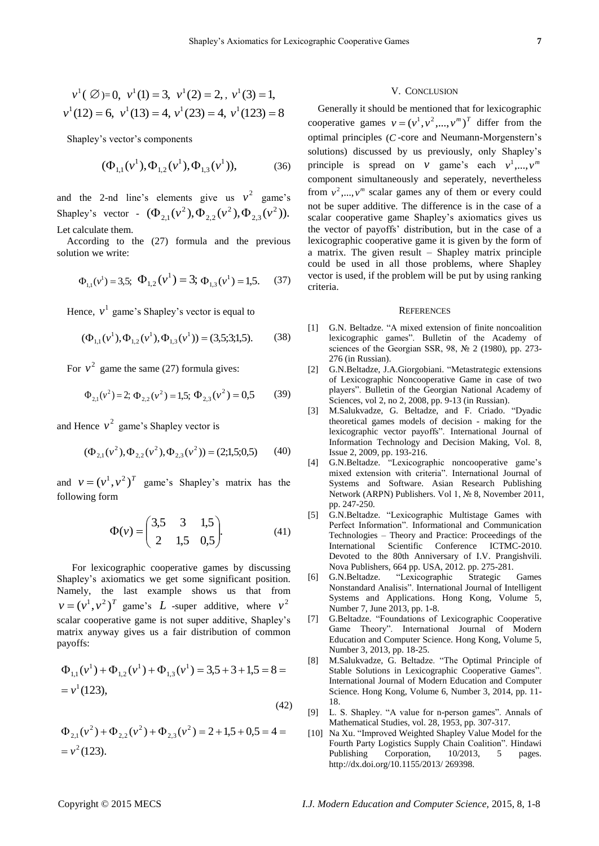$$
v^1(\emptyset) = 0
$$
,  $v^1(1) = 3$ ,  $v^1(2) = 2$ ,  $v^1(3) = 1$ ,  
\n $v^1(12) = 6$ ,  $v^1(13) = 4$ ,  $v^1(23) = 4$ ,  $v^1(123) = 8$ 

Shapley's vector's components

$$
(\Phi_{1,1}(\nu^1), \Phi_{1,2}(\nu^1), \Phi_{1,3}(\nu^1)), \tag{36}
$$

and the 2-nd line's elements give us  $v^2$  game's Shapley's vector -  $(\Phi_{2,1}(v^2), \Phi_{2,2}(v^2), \Phi_{2,3}(v^2)).$ 2 2,2  $\Phi_{2,1}(v^2), \Phi_{2,2}(v^2), \Phi_{2,3}(v^2)$ Let calculate them.

According to the (27) formula and the previous solution we write:

$$
\Phi_{1,1}(v^1) = 3.5; \quad \Phi_{1,2}(v^1) = 3; \quad \Phi_{1,3}(v^1) = 1.5.
$$
 (37)

Hence,  $v^1$  game's Shapley's vector is equal to

$$
(\Phi_{1,1}(\nu^1), \Phi_{1,2}(\nu^1), \Phi_{1,3}(\nu^1)) = (3,5;3;1,5). \tag{38}
$$

For  $v^2$  game the same (27) formula gives:

$$
\Phi_{2,1}(v^2) = 2; \Phi_{2,2}(v^2) = 1.5; \Phi_{2,3}(v^2) = 0.5 \tag{39}
$$

and Hence  $v^2$  game's Shapley vector is

$$
(\Phi_{2,1}(v^2), \Phi_{2,2}(v^2), \Phi_{2,3}(v^2)) = (2,1,5;0,5)
$$
 (40)

and  $v = (v^1, v^2)^T$  game's Shapley's matrix has the following form

$$
\Phi(\nu) = \begin{pmatrix} 3.5 & 3 & 1.5 \\ 2 & 1.5 & 0.5 \end{pmatrix}.
$$
 (41)

For lexicographic cooperative games by discussing Shapley's axiomatics we get some significant position. Namely, the last example shows us that from  $v = (v^1, v^2)^T$  game's *L* -super additive, where  $v^2$ scalar cooperative game is not super additive, Shapley's matrix anyway gives us a fair distribution of common payoffs:

$$
\Phi_{1,1}(v^1) + \Phi_{1,2}(v^1) + \Phi_{1,3}(v^1) = 3,5 + 3 + 1,5 = 8 =
$$
  
=  $v^1(123)$ , (42)

$$
\Phi_{2,1}(v^2) + \Phi_{2,2}(v^2) + \Phi_{2,3}(v^2) = 2 + 1,5 + 0,5 = 4 = v^2
$$
(123).

#### V. CONCLUSION

Generally it should be mentioned that for lexicographic cooperative games  $v = (v^1, v^2, ..., v^m)^T$  differ from the optimal principles (*C* -core and Neumann-Morgenstern's solutions) discussed by us previously, only Shapley's principle is spread on *v* game's each  $v^1, ..., v^m$ component simultaneously and seperately, nevertheless from  $v^2$ ,...,  $v^m$  scalar games any of them or every could not be super additive. The difference is in the case of a scalar cooperative game Shapley's axiomatics gives us the vector of payoffs' distribution, but in the case of a lexicographic cooperative game it is given by the form of a matrix. The given result – Shapley matrix principle could be used in all those problems, where Shapley vector is used, if the problem will be put by using ranking criteria.

#### **REFERENCES**

- [1] G.N. Beltadze. "A mixed extension of finite noncoalition lexicographic games". Bulletin of the Academy of sciences of the Georgian SSR, 98, № 2 (1980), pp. 273- 276 (in Russian).
- [2] G.N.Beltadze, J.A.Giorgobiani. "Metastrategic extensions of Lexicographic Noncooperative Game in case of two players". Bulletin of the Georgian National Academy of Sciences, vol 2, no 2, 2008, pp. 9-13 (in Russian).
- [3] M.Salukvadze, G. Beltadze, and F. Criado. "Dyadic theoretical games models of decision - making for the lexicographic vector payoffs". International Journal of Information Technology and Decision Making, Vol. 8, Issue 2, 2009, pp. 193-216.
- [4] G.N.Beltadze. "Lexicographic noncooperative game's mixed extension with criteria". International Journal of Systems and Software. Asian Research Publishing Network (ARPN) Publishers. Vol 1, № 8, November 2011, pp. 247-250.
- [5] G.N.Beltadze. "Lexicographic Multistage Games with Perfect Information". Informational and Communication Technologies – Theory and Practice: Proceedings of the International Scientific Conference ICTMC-2010. Devoted to the 80th Anniversary of I.V. Prangishvili. Nova Publishers, 664 pp. USA, 2012. pp. 275-281.
- [6] G.N.Beltadze. "Lexicographic Strategic Games Nonstandard Analisis". International Journal of Intelligent Systems and Applications. Hong Kong, Volume 5, Number 7, June 2013, pp. 1-8.
- [7] G.Beltadze. "Foundations of Lexicographic Cooperative Game Theory". International Journal of Modern Education and Computer Science. Hong Kong, Volume 5, Number 3, 2013, pp. 18-25.
- [8] M.Salukvadze, G. Beltadze. "The Optimal Principle of Stable Solutions in Lexicographic Cooperative Games". International Journal of Modern Education and Computer Science. Hong Kong, Volume 6, Number 3, 2014, pp. 11- 18.
- [9] L. S. Shapley. "A value for n-person games". Annals of Mathematical Studies, vol. 28, 1953, pp. 307-317.
- [10] Na Xu. "Improved Weighted Shapley Value Model for the Fourth Party Logistics Supply Chain Coalition". Hindawi Publishing Corporation, 10/2013, 5 pages. http://dx.doi.org/10.1155/2013/ 269398.